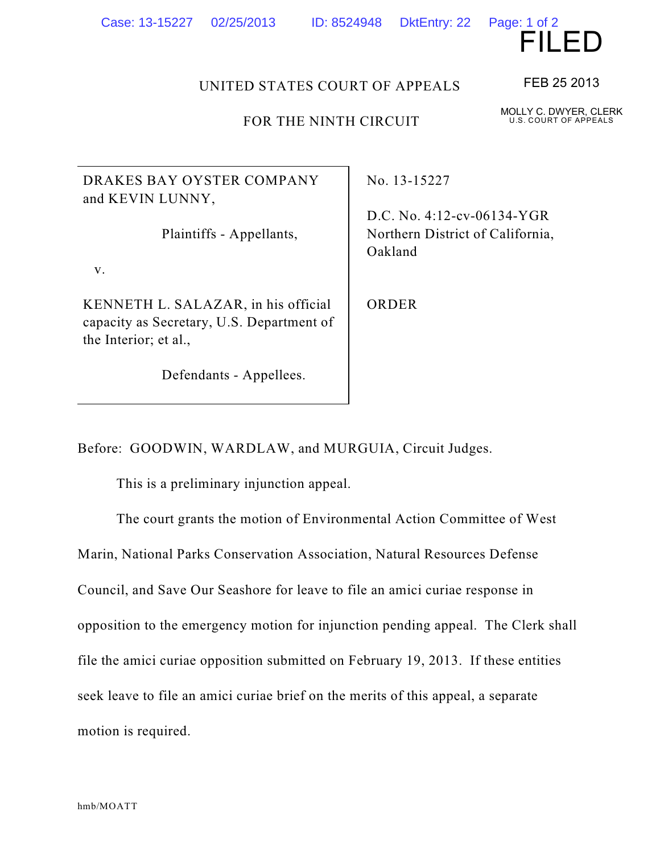hmb/MOATT

## Case: 13-15227 02/25/2013 ID: 8524948 DktEntry: 22 Page: 1 of 2

DRAKES BAY OYSTER COMPANY and KEVIN LUNNY,

Plaintiffs - Appellants,

v.

KENNETH L. SALAZAR, in his official capacity as Secretary, U.S. Department of the Interior; et al.,

Defendants - Appellees.

No. 13-15227

D.C. No. 4:12-cv-06134-YGR Northern District of California, Oakland

ORDER

Before: GOODWIN, WARDLAW, and MURGUIA, Circuit Judges.

This is a preliminary injunction appeal.

The court grants the motion of Environmental Action Committee of West

Marin, National Parks Conservation Association, Natural Resources Defense

Council, and Save Our Seashore for leave to file an amici curiae response in

opposition to the emergency motion for injunction pending appeal. The Clerk shall

file the amici curiae opposition submitted on February 19, 2013. If these entities

seek leave to file an amici curiae brief on the merits of this appeal, a separate

motion is required.



FEB 25 2013

MOLLY C. DWYER, CLERK U.S. COURT OF APPEALS

UNITED STATES COURT OF APPEALS

FOR THE NINTH CIRCUIT